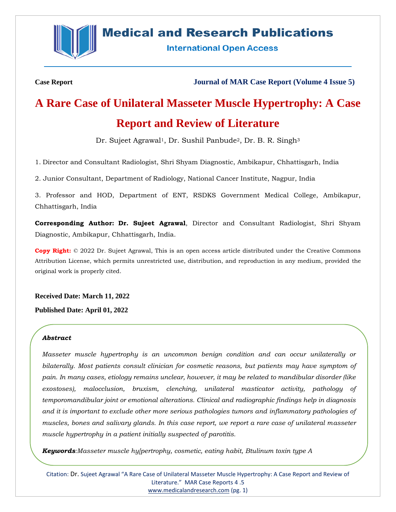

## **Medical and Research Publications**

**International Open Access** 

**Case Report Journal of MAR Case Report (Volume 4 Issue 5)**

# **A Rare Case of Unilateral Masseter Muscle Hypertrophy: A Case Report and Review of Literature**

Dr. Sujeet Agrawal<sup>1</sup>, Dr. Sushil Panbude<sup>2</sup>, Dr. B. R. Singh<sup>3</sup>

1. Director and Consultant Radiologist, Shri Shyam Diagnostic, Ambikapur, Chhattisgarh, India

2. Junior Consultant, Department of Radiology, National Cancer Institute, Nagpur, India

3. Professor and HOD, Department of ENT, RSDKS Government Medical College, Ambikapur, Chhattisgarh, India

**Corresponding Author: Dr. Sujeet Agrawal**, Director and Consultant Radiologist, Shri Shyam Diagnostic, Ambikapur, Chhattisgarh, India.

**Copy Right:** © 2022 Dr. Sujeet Agrawal, This is an open access article distributed under the Creative Commons Attribution License, which permits unrestricted use, distribution, and reproduction in any medium, provided the original work is properly cited.

**Received Date: March 11, 2022**

**Published Date: April 01, 2022**

#### *Abstract*

*Masseter muscle hypertrophy is an uncommon benign condition and can occur unilaterally or bilaterally. Most patients consult clinician for cosmetic reasons, but patients may have symptom of pain. In many cases, etiology remains unclear, however, it may be related to mandibular disorder (like exostoses), malocclusion, bruxism, clenching, unilateral masticator activity, pathology of temporomandibular joint or emotional alterations. Clinical and radiographic findings help in diagnosis and it is important to exclude other more serious pathologies tumors and inflammatory pathologies of muscles, bones and salivary glands. In this case report, we report a rare case of unilateral masseter muscle hypertrophy in a patient initially suspected of parotitis.*

*Keywords:Masseter muscle hy[pertrophy, cosmetic, eating habit, Btulinum toxin type A*

Citation: Dr. Sujeet Agrawal "A Rare Case of Unilateral Masseter Muscle Hypertrophy: A Case Report and Review of Literature." MAR Case Reports 4 .5 [www.medicalandresearch.com](http://www.medicalandresearch.com/) (pg. 1)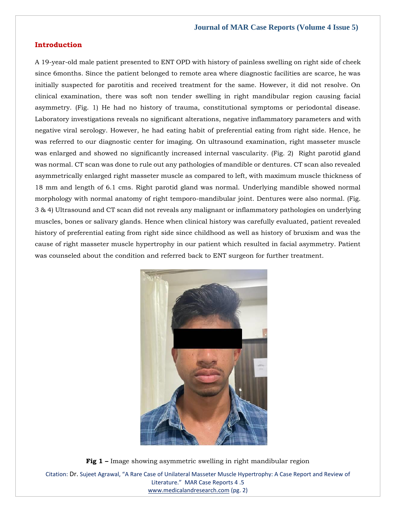#### **Introduction**

A 19-year-old male patient presented to ENT OPD with history of painless swelling on right side of cheek since 6months. Since the patient belonged to remote area where diagnostic facilities are scarce, he was initially suspected for parotitis and received treatment for the same. However, it did not resolve. On clinical examination, there was soft non tender swelling in right mandibular region causing facial asymmetry. (Fig. 1) He had no history of trauma, constitutional symptoms or periodontal disease. Laboratory investigations reveals no significant alterations, negative inflammatory parameters and with negative viral serology. However, he had eating habit of preferential eating from right side. Hence, he was referred to our diagnostic center for imaging. On ultrasound examination, right masseter muscle was enlarged and showed no significantly increased internal vascularity. (Fig. 2) Right parotid gland was normal. CT scan was done to rule out any pathologies of mandible or dentures. CT scan also revealed asymmetrically enlarged right masseter muscle as compared to left, with maximum muscle thickness of 18 mm and length of 6.1 cms. Right parotid gland was normal. Underlying mandible showed normal morphology with normal anatomy of right temporo-mandibular joint. Dentures were also normal. (Fig. 3 & 4) Ultrasound and CT scan did not reveals any malignant or inflammatory pathologies on underlying muscles, bones or salivary glands. Hence when clinical history was carefully evaluated, patient revealed history of preferential eating from right side since childhood as well as history of bruxism and was the cause of right masseter muscle hypertrophy in our patient which resulted in facial asymmetry. Patient was counseled about the condition and referred back to ENT surgeon for further treatment.



Citation: Dr. Sujeet Agrawal, "A Rare Case of Unilateral Masseter Muscle Hypertrophy: A Case Report and Review of Literature." MAR Case Reports 4 .5 [www.medicalandresearch.com](http://www.medicalandresearch.com/) (pg. 2) **Fig 1 –** Image showing asymmetric swelling in right mandibular region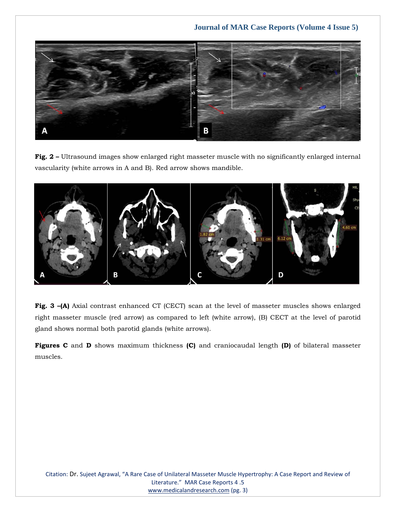

**Fig. 2 –** Ultrasound images show enlarged right masseter muscle with no significantly enlarged internal vascularity (white arrows in A and B). Red arrow shows mandible.



**Fig. 3 –(A)** Axial contrast enhanced CT (CECT) scan at the level of masseter muscles shows enlarged right masseter muscle (red arrow) as compared to left (white arrow), (B) CECT at the level of parotid gland shows normal both parotid glands (white arrows).

**Figures C** and **D** shows maximum thickness **(C)** and craniocaudal length **(D)** of bilateral masseter muscles.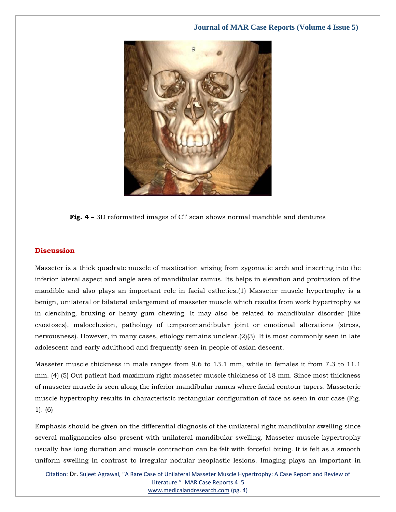

**Fig. 4 –** 3D reformatted images of CT scan shows normal mandible and dentures

#### **Discussion**

Masseter is a thick quadrate muscle of mastication arising from zygomatic arch and inserting into the inferior lateral aspect and angle area of mandibular ramus. Its helps in elevation and protrusion of the mandible and also plays an important role in facial esthetics.(1) Masseter muscle hypertrophy is a benign, unilateral or bilateral enlargement of masseter muscle which results from work hypertrophy as in clenching, bruxing or heavy gum chewing. It may also be related to mandibular disorder (like exostoses), malocclusion, pathology of temporomandibular joint or emotional alterations (stress, nervousness). However, in many cases, etiology remains unclear.(2)(3) It is most commonly seen in late adolescent and early adulthood and frequently seen in people of asian descent.

Masseter muscle thickness in male ranges from 9.6 to 13.1 mm, while in females it from 7.3 to 11.1 mm. (4) (5) Out patient had maximum right masseter muscle thickness of 18 mm. Since most thickness of masseter muscle is seen along the inferior mandibular ramus where facial contour tapers. Masseteric muscle hypertrophy results in characteristic rectangular configuration of face as seen in our case (Fig. 1). (6)

Emphasis should be given on the differential diagnosis of the unilateral right mandibular swelling since several malignancies also present with unilateral mandibular swelling. Masseter muscle hypertrophy usually has long duration and muscle contraction can be felt with forceful biting. It is felt as a smooth uniform swelling in contrast to irregular nodular neoplastic lesions. Imaging plays an important in

Citation: Dr. Sujeet Agrawal, "A Rare Case of Unilateral Masseter Muscle Hypertrophy: A Case Report and Review of Literature." MAR Case Reports 4 .5 [www.medicalandresearch.com](http://www.medicalandresearch.com/) (pg. 4)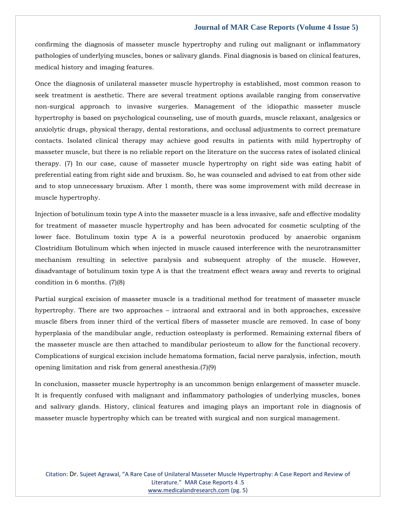confirming the diagnosis of masseter muscle hypertrophy and ruling out malignant or inflammatory pathologies of underlying muscles, bones or salivary glands. Final diagnosis is based on clinical features, medical history and imaging features.

Once the diagnosis of unilateral masseter muscle hypertrophy is established, most common reason to seek treatment is aesthetic. There are several treatment options available ranging from conservative non-surgical approach to invasive surgeries. Management of the idiopathic masseter muscle hypertrophy is based on psychological counseling, use of mouth guards, muscle relaxant, analgesics or anxiolytic drugs, physical therapy, dental restorations, and occlusal adjustments to correct premature contacts. Isolated clinical therapy may achieve good results in patients with mild hypertrophy of masseter muscle, but there is no reliable report on the literature on the success rates of isolated clinical therapy. (7) In our case, cause of masseter muscle hypertrophy on right side was eating habit of preferential eating from right side and bruxism. So, he was counseled and advised to eat from other side and to stop unnecessary bruxism. After 1 month, there was some improvement with mild decrease in muscle hypertrophy.

Injection of botulinum toxin type A into the masseter muscle is a less invasive, safe and effective modality for treatment of masseter muscle hypertrophy and has been advocated for cosmetic sculpting of the lower face. Botulinum toxin type A is a powerful neurotoxin produced by anaerobic organism Clostridium Botulinum which when injected in muscle caused interference with the neurotransmitter mechanism resulting in selective paralysis and subsequent atrophy of the muscle. However, disadvantage of botulinum toxin type A is that the treatment effect wears away and reverts to original condition in 6 months. (7)(8)

Partial surgical excision of masseter muscle is a traditional method for treatment of masseter muscle hypertrophy. There are two approaches – intraoral and extraoral and in both approaches, excessive muscle fibers from inner third of the vertical fibers of masseter muscle are removed. In case of bony hyperplasia of the mandibular angle, reduction osteoplasty is performed. Remaining external fibers of the masseter muscle are then attached to mandibular periosteum to allow for the functional recovery. Complications of surgical excision include hematoma formation, facial nerve paralysis, infection, mouth opening limitation and risk from general anesthesia.(7)(9)

In conclusion, masseter muscle hypertrophy is an uncommon benign enlargement of masseter muscle. It is frequently confused with malignant and inflammatory pathologies of underlying muscles, bones and salivary glands. History, clinical features and imaging plays an important role in diagnosis of masseter muscle hypertrophy which can be treated with surgical and non surgical management.